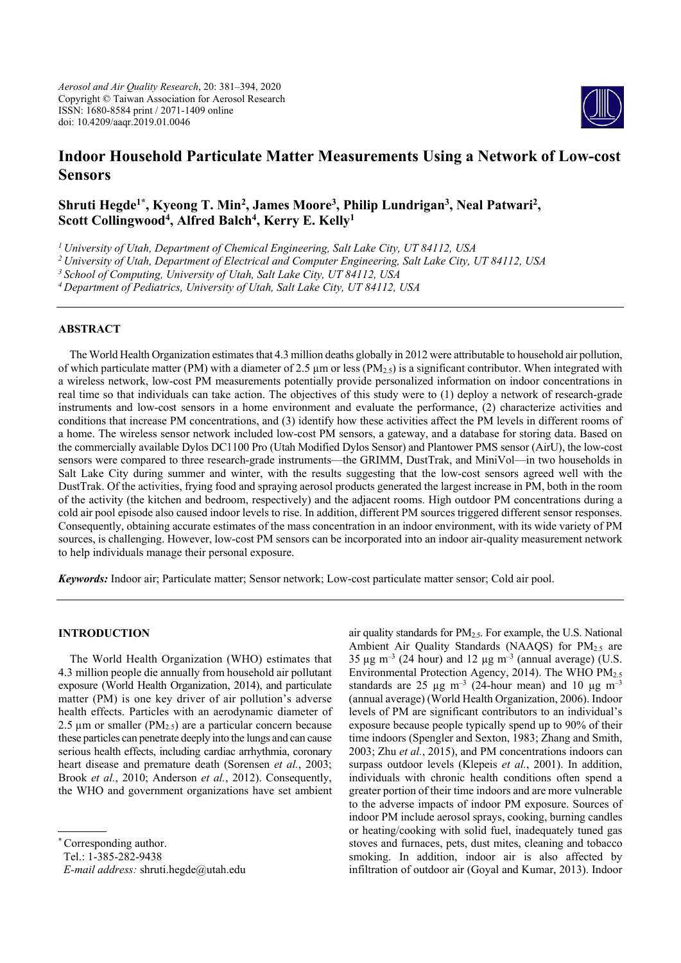

# **Indoor Household Particulate Matter Measurements Using a Network of Low-cost Sensors**

# Shruti Hegde<sup>1\*</sup>, Kyeong T. Min<sup>2</sup>, James Moore<sup>3</sup>, Philip Lundrigan<sup>3</sup>, Neal Patwari<sup>2</sup>, Scott Collingwood<sup>4</sup>, Alfred Balch<sup>4</sup>, Kerry E. Kelly<sup>1</sup>

*1 University of Utah, Department of Chemical Engineering, Salt Lake City, UT 84112, USA* 

*2 University of Utah, Department of Electrical and Computer Engineering, Salt Lake City, UT 84112, USA* 

*3 School of Computing, University of Utah, Salt Lake City, UT 84112, USA* 

*4 Department of Pediatrics, University of Utah, Salt Lake City, UT 84112, USA* 

## **ABSTRACT**

The World Health Organization estimates that 4.3 million deaths globally in 2012 were attributable to household air pollution, of which particulate matter (PM) with a diameter of 2.5  $\mu$ m or less (PM<sub>2.5</sub>) is a significant contributor. When integrated with a wireless network, low-cost PM measurements potentially provide personalized information on indoor concentrations in real time so that individuals can take action. The objectives of this study were to (1) deploy a network of research-grade instruments and low-cost sensors in a home environment and evaluate the performance, (2) characterize activities and conditions that increase PM concentrations, and (3) identify how these activities affect the PM levels in different rooms of a home. The wireless sensor network included low-cost PM sensors, a gateway, and a database for storing data. Based on the commercially available Dylos DC1100 Pro (Utah Modified Dylos Sensor) and Plantower PMS sensor (AirU), the low-cost sensors were compared to three research-grade instruments—the GRIMM, DustTrak, and MiniVol—in two households in Salt Lake City during summer and winter, with the results suggesting that the low-cost sensors agreed well with the DustTrak. Of the activities, frying food and spraying aerosol products generated the largest increase in PM, both in the room of the activity (the kitchen and bedroom, respectively) and the adjacent rooms. High outdoor PM concentrations during a cold air pool episode also caused indoor levels to rise. In addition, different PM sources triggered different sensor responses. Consequently, obtaining accurate estimates of the mass concentration in an indoor environment, with its wide variety of PM sources, is challenging. However, low-cost PM sensors can be incorporated into an indoor air-quality measurement network to help individuals manage their personal exposure.

*Keywords:* Indoor air; Particulate matter; Sensor network; Low-cost particulate matter sensor; Cold air pool.

# **INTRODUCTION**

The World Health Organization (WHO) estimates that 4.3 million people die annually from household air pollutant exposure (World Health Organization, 2014), and particulate matter (PM) is one key driver of air pollution's adverse health effects. Particles with an aerodynamic diameter of 2.5  $\mu$ m or smaller (PM<sub>2.5</sub>) are a particular concern because these particles can penetrate deeply into the lungs and can cause serious health effects, including cardiac arrhythmia, coronary heart disease and premature death (Sorensen *et al.*, 2003; Brook *et al.*, 2010; Anderson *et al.*, 2012). Consequently, the WHO and government organizations have set ambient

Tel.: 1-385-282-9438

air quality standards for PM2.5. For example, the U.S. National Ambient Air Quality Standards (NAAQS) for  $PM<sub>2.5</sub>$  are 35  $\mu$ g m<sup>-3</sup> (24 hour) and 12  $\mu$ g m<sup>-3</sup> (annual average) (U.S. Environmental Protection Agency, 2014). The WHO  $PM_{2.5}$ standards are 25  $\mu$ g m<sup>-3</sup> (24-hour mean) and 10  $\mu$ g m<sup>-3</sup> (annual average) (World Health Organization, 2006). Indoor levels of PM are significant contributors to an individual's exposure because people typically spend up to 90% of their time indoors (Spengler and Sexton, 1983; Zhang and Smith, 2003; Zhu *et al.*, 2015), and PM concentrations indoors can surpass outdoor levels (Klepeis *et al.*, 2001). In addition, individuals with chronic health conditions often spend a greater portion of their time indoors and are more vulnerable to the adverse impacts of indoor PM exposure. Sources of indoor PM include aerosol sprays, cooking, burning candles or heating/cooking with solid fuel, inadequately tuned gas stoves and furnaces, pets, dust mites, cleaning and tobacco smoking. In addition, indoor air is also affected by infiltration of outdoor air (Goyal and Kumar, 2013). Indoor

Corresponding author.

*E-mail address:* shruti.hegde@utah.edu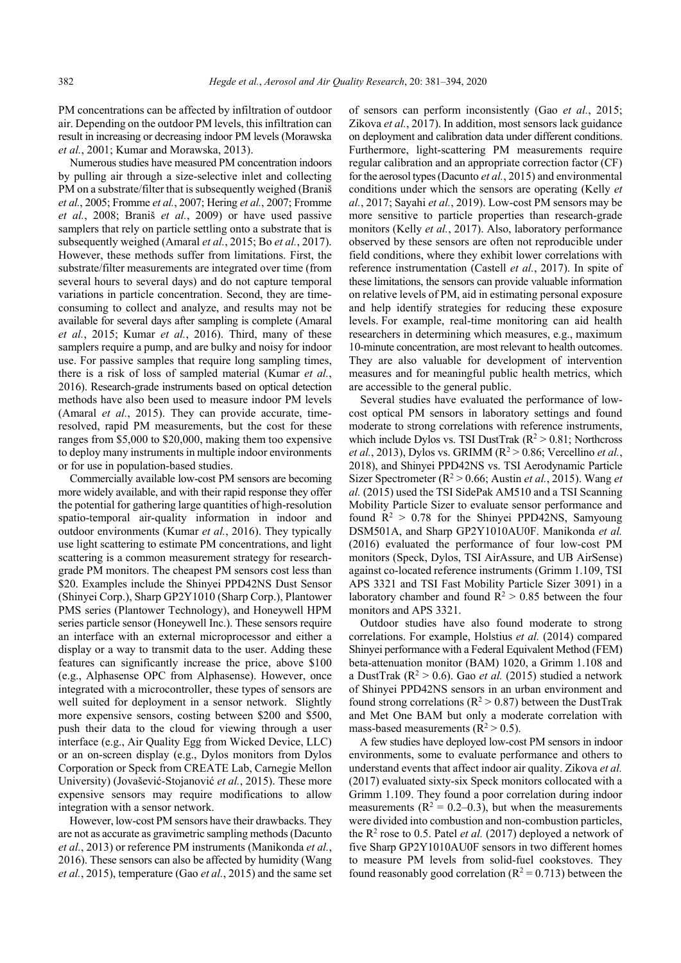PM concentrations can be affected by infiltration of outdoor air. Depending on the outdoor PM levels, this infiltration can result in increasing or decreasing indoor PM levels (Morawska *et al.*, 2001; Kumar and Morawska, 2013).

Numerous studies have measured PM concentration indoors by pulling air through a size-selective inlet and collecting PM on a substrate/filter that is subsequently weighed (Braniš *et al.*, 2005; Fromme *et al.*, 2007; Hering *et al.*, 2007; Fromme *et al.*, 2008; Braniš *et al.*, 2009) or have used passive samplers that rely on particle settling onto a substrate that is subsequently weighed (Amaral *et al.*, 2015; Bo *et al.*, 2017). However, these methods suffer from limitations. First, the substrate/filter measurements are integrated over time (from several hours to several days) and do not capture temporal variations in particle concentration. Second, they are timeconsuming to collect and analyze, and results may not be available for several days after sampling is complete (Amaral *et al.*, 2015; Kumar *et al.*, 2016). Third, many of these samplers require a pump, and are bulky and noisy for indoor use. For passive samples that require long sampling times, there is a risk of loss of sampled material (Kumar *et al.*, 2016). Research-grade instruments based on optical detection methods have also been used to measure indoor PM levels (Amaral *et al.*, 2015). They can provide accurate, timeresolved, rapid PM measurements, but the cost for these ranges from \$5,000 to \$20,000, making them too expensive to deploy many instruments in multiple indoor environments or for use in population-based studies.

Commercially available low-cost PM sensors are becoming more widely available, and with their rapid response they offer the potential for gathering large quantities of high-resolution spatio-temporal air-quality information in indoor and outdoor environments (Kumar *et al.*, 2016). They typically use light scattering to estimate PM concentrations, and light scattering is a common measurement strategy for researchgrade PM monitors. The cheapest PM sensors cost less than \$20. Examples include the Shinyei PPD42NS Dust Sensor (Shinyei Corp.), Sharp GP2Y1010 (Sharp Corp.), Plantower PMS series (Plantower Technology), and Honeywell HPM series particle sensor (Honeywell Inc.). These sensors require an interface with an external microprocessor and either a display or a way to transmit data to the user. Adding these features can significantly increase the price, above \$100 (e.g., Alphasense OPC from Alphasense). However, once integrated with a microcontroller, these types of sensors are well suited for deployment in a sensor network. Slightly more expensive sensors, costing between \$200 and \$500, push their data to the cloud for viewing through a user interface (e.g., Air Quality Egg from Wicked Device, LLC) or an on-screen display (e.g., Dylos monitors from Dylos Corporation or Speck from CREATE Lab, Carnegie Mellon University) (Jovašević-Stojanović *et al.*, 2015). These more expensive sensors may require modifications to allow integration with a sensor network.

However, low-cost PM sensors have their drawbacks. They are not as accurate as gravimetric sampling methods (Dacunto *et al.*, 2013) or reference PM instruments (Manikonda *et al.*, 2016). These sensors can also be affected by humidity (Wang *et al.*, 2015), temperature (Gao *et al.*, 2015) and the same set

of sensors can perform inconsistently (Gao *et al.*, 2015; Zikova *et al.*, 2017). In addition, most sensors lack guidance on deployment and calibration data under different conditions. Furthermore, light-scattering PM measurements require regular calibration and an appropriate correction factor (CF) for the aerosol types (Dacunto *et al.*, 2015) and environmental conditions under which the sensors are operating (Kelly *et al.*, 2017; Sayahi *et al.*, 2019). Low-cost PM sensors may be more sensitive to particle properties than research-grade monitors (Kelly *et al.*, 2017). Also, laboratory performance observed by these sensors are often not reproducible under field conditions, where they exhibit lower correlations with reference instrumentation (Castell *et al.*, 2017). In spite of these limitations, the sensors can provide valuable information on relative levels of PM, aid in estimating personal exposure and help identify strategies for reducing these exposure levels. For example, real-time monitoring can aid health researchers in determining which measures, e.g., maximum 10-minute concentration, are most relevant to health outcomes. They are also valuable for development of intervention measures and for meaningful public health metrics, which are accessible to the general public.

Several studies have evaluated the performance of lowcost optical PM sensors in laboratory settings and found moderate to strong correlations with reference instruments, which include Dylos vs. TSI DustTrak  $(R^2 > 0.81;$  Northcross *et al.*, 2013), Dylos vs. GRIMM ( $R^2 > 0.86$ ; Vercellino *et al.*, 2018), and Shinyei PPD42NS vs. TSI Aerodynamic Particle Sizer Spectrometer ( $R^2 > 0.66$ ; Austin *et al.*, 2015). Wang *et al.* (2015) used the TSI SidePak AM510 and a TSI Scanning Mobility Particle Sizer to evaluate sensor performance and found  $R^2 > 0.78$  for the Shinyei PPD42NS, Samyoung DSM501A, and Sharp GP2Y1010AU0F. Manikonda *et al.* (2016) evaluated the performance of four low-cost PM monitors (Speck, Dylos, TSI AirAssure, and UB AirSense) against co-located reference instruments (Grimm 1.109, TSI APS 3321 and TSI Fast Mobility Particle Sizer 3091) in a laboratory chamber and found  $R^2 > 0.85$  between the four monitors and APS 3321.

Outdoor studies have also found moderate to strong correlations. For example, Holstius *et al.* (2014) compared Shinyei performance with a Federal Equivalent Method (FEM) beta-attenuation monitor (BAM) 1020, a Grimm 1.108 and a DustTrak ( $R^2$  > 0.6). Gao *et al.* (2015) studied a network of Shinyei PPD42NS sensors in an urban environment and found strong correlations ( $R^2 > 0.87$ ) between the DustTrak and Met One BAM but only a moderate correlation with mass-based measurements ( $R^2 > 0.5$ ).

A few studies have deployed low-cost PM sensors in indoor environments, some to evaluate performance and others to understand events that affect indoor air quality. Zikova *et al.* (2017) evaluated sixty-six Speck monitors collocated with a Grimm 1.109. They found a poor correlation during indoor measurements ( $R^2 = 0.2{\text{-}}0.3$ ), but when the measurements were divided into combustion and non-combustion particles, the R<sup>2</sup> rose to 0.5. Patel *et al.* (2017) deployed a network of five Sharp GP2Y1010AU0F sensors in two different homes to measure PM levels from solid-fuel cookstoves. They found reasonably good correlation ( $R^2 = 0.713$ ) between the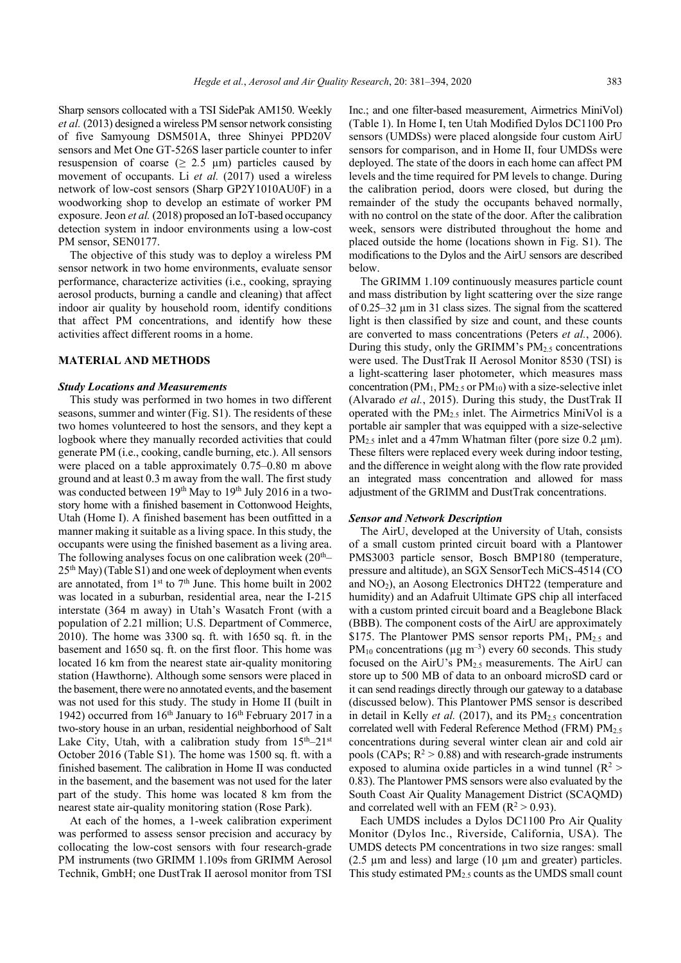Sharp sensors collocated with a TSI SidePak AM150. Weekly *et al.* (2013) designed a wireless PM sensor network consisting of five Samyoung DSM501A, three Shinyei PPD20V sensors and Met One GT-526S laser particle counter to infer resuspension of coarse ( $\geq$  2.5  $\mu$ m) particles caused by movement of occupants. Li *et al.* (2017) used a wireless network of low-cost sensors (Sharp GP2Y1010AU0F) in a woodworking shop to develop an estimate of worker PM exposure. Jeon *et al.* (2018) proposed an IoT-based occupancy detection system in indoor environments using a low-cost PM sensor, SEN0177.

The objective of this study was to deploy a wireless PM sensor network in two home environments, evaluate sensor performance, characterize activities (i.e., cooking, spraying aerosol products, burning a candle and cleaning) that affect indoor air quality by household room, identify conditions that affect PM concentrations, and identify how these activities affect different rooms in a home.

## **MATERIAL AND METHODS**

#### *Study Locations and Measurements*

This study was performed in two homes in two different seasons, summer and winter (Fig. S1). The residents of these two homes volunteered to host the sensors, and they kept a logbook where they manually recorded activities that could generate PM (i.e., cooking, candle burning, etc.). All sensors were placed on a table approximately 0.75–0.80 m above ground and at least 0.3 m away from the wall. The first study was conducted between 19<sup>th</sup> May to 19<sup>th</sup> July 2016 in a twostory home with a finished basement in Cottonwood Heights, Utah (Home I). A finished basement has been outfitted in a manner making it suitable as a living space. In this study, the occupants were using the finished basement as a living area. The following analyses focus on one calibration week  $(20<sup>th</sup>–$  $25<sup>th</sup>$  May) (Table S1) and one week of deployment when events are annotated, from  $1<sup>st</sup>$  to  $7<sup>th</sup>$  June. This home built in 2002 was located in a suburban, residential area, near the I-215 interstate (364 m away) in Utah's Wasatch Front (with a population of 2.21 million; U.S. Department of Commerce, 2010). The home was 3300 sq. ft. with 1650 sq. ft. in the basement and 1650 sq. ft. on the first floor. This home was located 16 km from the nearest state air-quality monitoring station (Hawthorne). Although some sensors were placed in the basement, there were no annotated events, and the basement was not used for this study. The study in Home II (built in 1942) occurred from  $16<sup>th</sup>$  January to  $16<sup>th</sup>$  February 2017 in a two-story house in an urban, residential neighborhood of Salt Lake City, Utah, with a calibration study from  $15<sup>th</sup>-21<sup>st</sup>$ October 2016 (Table S1). The home was 1500 sq. ft. with a finished basement. The calibration in Home II was conducted in the basement, and the basement was not used for the later part of the study. This home was located 8 km from the nearest state air-quality monitoring station (Rose Park).

At each of the homes, a 1-week calibration experiment was performed to assess sensor precision and accuracy by collocating the low-cost sensors with four research-grade PM instruments (two GRIMM 1.109s from GRIMM Aerosol Technik, GmbH; one DustTrak II aerosol monitor from TSI Inc.; and one filter-based measurement, Airmetrics MiniVol) (Table 1). In Home I, ten Utah Modified Dylos DC1100 Pro sensors (UMDSs) were placed alongside four custom AirU sensors for comparison, and in Home II, four UMDSs were deployed. The state of the doors in each home can affect PM levels and the time required for PM levels to change. During the calibration period, doors were closed, but during the remainder of the study the occupants behaved normally, with no control on the state of the door. After the calibration week, sensors were distributed throughout the home and placed outside the home (locations shown in Fig. S1). The modifications to the Dylos and the AirU sensors are described below.

The GRIMM 1.109 continuously measures particle count and mass distribution by light scattering over the size range of 0.25–32 µm in 31 class sizes. The signal from the scattered light is then classified by size and count, and these counts are converted to mass concentrations (Peters *et al.*, 2006). During this study, only the GRIMM's  $PM<sub>2.5</sub>$  concentrations were used. The DustTrak II Aerosol Monitor 8530 (TSI) is a light-scattering laser photometer, which measures mass concentration ( $PM<sub>1</sub>$ ,  $PM<sub>2.5</sub>$  or  $PM<sub>10</sub>$ ) with a size-selective inlet (Alvarado *et al.*, 2015). During this study, the DustTrak II operated with the  $PM_{2.5}$  inlet. The Airmetrics MiniVol is a portable air sampler that was equipped with a size-selective  $PM_{2.5}$  inlet and a 47mm Whatman filter (pore size 0.2  $\mu$ m). These filters were replaced every week during indoor testing, and the difference in weight along with the flow rate provided an integrated mass concentration and allowed for mass adjustment of the GRIMM and DustTrak concentrations.

### *Sensor and Network Description*

The AirU, developed at the University of Utah, consists of a small custom printed circuit board with a Plantower PMS3003 particle sensor, Bosch BMP180 (temperature, pressure and altitude), an SGX SensorTech MiCS-4514 (CO and  $NO<sub>2</sub>$ ), an Aosong Electronics DHT22 (temperature and humidity) and an Adafruit Ultimate GPS chip all interfaced with a custom printed circuit board and a Beaglebone Black (BBB). The component costs of the AirU are approximately \$175. The Plantower PMS sensor reports  $PM<sub>1</sub>$ ,  $PM<sub>2.5</sub>$  and  $PM_{10}$  concentrations ( $\mu$ g m<sup>-3</sup>) every 60 seconds. This study focused on the AirU's PM2.5 measurements. The AirU can store up to 500 MB of data to an onboard microSD card or it can send readings directly through our gateway to a database (discussed below). This Plantower PMS sensor is described in detail in Kelly *et al.* (2017), and its  $PM_{2.5}$  concentration correlated well with Federal Reference Method (FRM)  $PM_{2.5}$ concentrations during several winter clean air and cold air pools (CAPs;  $R^2 > 0.88$ ) and with research-grade instruments exposed to alumina oxide particles in a wind tunnel  $(R^2 >$ 0.83). The Plantower PMS sensors were also evaluated by the South Coast Air Quality Management District (SCAQMD) and correlated well with an FEM  $(R^2 > 0.93)$ .

Each UMDS includes a Dylos DC1100 Pro Air Quality Monitor (Dylos Inc., Riverside, California, USA). The UMDS detects PM concentrations in two size ranges: small ( $2.5 \mu m$  and less) and large ( $10 \mu m$  and greater) particles. This study estimated  $PM<sub>2.5</sub>$  counts as the UMDS small count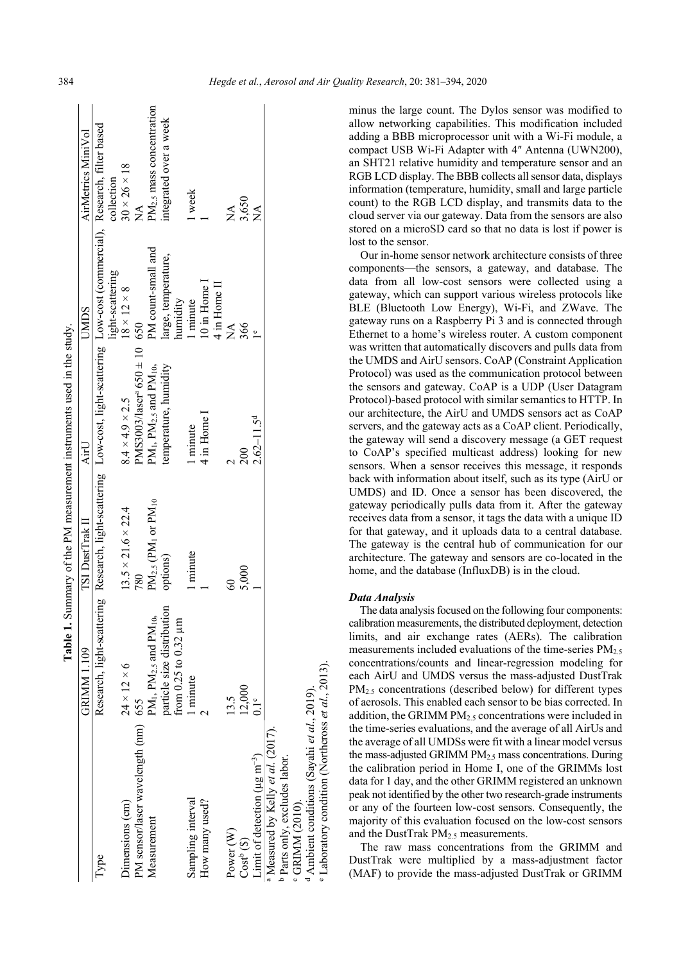|                                                              |                                                            |                                                 | Table 1. Summary of the PM measurement instruments used in the study.                                                          |                                 |                                      |
|--------------------------------------------------------------|------------------------------------------------------------|-------------------------------------------------|--------------------------------------------------------------------------------------------------------------------------------|---------------------------------|--------------------------------------|
|                                                              | <b>GRIMM1.109</b>                                          | TSI DustTrak II                                 | AirU                                                                                                                           | <b>UMDS</b>                     | AirMetrics MiniVol                   |
| Type                                                         |                                                            |                                                 | Research, light-scattering Research, light-scattering Low-cost, light-scattering Low-cost (commercial), Research, filter based |                                 |                                      |
|                                                              |                                                            |                                                 |                                                                                                                                | light-scattering                | collection                           |
| Dimensions (cm)                                              | $24 \times 12 \times 6$                                    | $13.5 \times 21.6 \times 22.4$                  | $8.4 \times 4.9 \times 2.5$                                                                                                    | $8 \times 12 \times 8$          | $30 \times 26 \times 18$             |
| PM sensor/laser wavelength (nm) 655                          |                                                            | 780                                             | $PMS3003/lasera 650 \pm 10 650$                                                                                                |                                 | $\sum_{i=1}^{n}$                     |
| Measurement                                                  | PM <sub>1</sub> , PM <sub>2.5</sub> and PM <sub>10</sub> , | $PM_{2.5}$ (PM <sub>1</sub> or PM <sub>10</sub> | $PM1$ , $PM2.5$ and $PM10$ ,                                                                                                   | PM count-small and              | PM <sub>2.5</sub> mass concentration |
|                                                              | particle size distribution<br>from $0.25$ to $0.32 \mu m$  | options)                                        | temperature, humidity                                                                                                          | large, temperature,<br>humidity | integrated over a week               |
| Sampling interval                                            | 1 minute                                                   | 1 minute                                        | 1 minute                                                                                                                       | minute                          | 1 week                               |
| How many used?                                               |                                                            |                                                 | 4 in Home I                                                                                                                    | $10$ in Home $1$                |                                      |
|                                                              |                                                            |                                                 |                                                                                                                                | 4 in Home II                    |                                      |
|                                                              |                                                            |                                                 |                                                                                                                                |                                 |                                      |
| Power <sub>(W)</sub>                                         | 13.5                                                       | 8                                               |                                                                                                                                | $\sum_{i=1}^{n}$                | $\stackrel{\blacktriangle}{\Xi}$     |
| $\cos t^b$ (\$)                                              | 12,000                                                     | 5,000                                           | 200                                                                                                                            | 366                             | 3,650                                |
| Limit of detection ( $\mu$ g m <sup>-3</sup> )               | $0.1^{\circ}$                                              |                                                 | $2.62 - 11.5d$                                                                                                                 |                                 | $\sum_{i=1}^{n}$                     |
| <sup>a</sup> Measured by Kelly et al. (2017).                |                                                            |                                                 |                                                                                                                                |                                 |                                      |
| <sup>b</sup> Parts only, excludes labor.                     |                                                            |                                                 |                                                                                                                                |                                 |                                      |
| <sup>c</sup> GRIMM (2010).                                   |                                                            |                                                 |                                                                                                                                |                                 |                                      |
| <sup>d</sup> Ambient conditions (Sayahi et al., 2019).       |                                                            |                                                 |                                                                                                                                |                                 |                                      |
| <sup>e</sup> Laboratory condition (Northcross et al., 2013). |                                                            |                                                 |                                                                                                                                |                                 |                                      |

minus the large count. The Dylos sensor was modified to allow networking capabilities. This modification included adding a BBB microprocessor unit with a Wi-Fi module, a compact USB Wi-Fi Adapter with 4" Antenna (UWN200), an SHT21 relative humidity and temperature sensor and an RGB LCD display. The BBB collects all sensor data, displays information (temperature, humidity, small and large particle count) to the RGB LCD display, and transmits data to the cloud server via our gateway. Data from the sensors are also stored on a microSD card so that no data is lost if power is lost to the sensor.

Our in-home sensor network architecture consists of three components—the sensors, a gateway, and database. The data from all low-cost sensors were collected using a gateway, which can support various wireless protocols like BLE (Bluetooth Low Energy), Wi-Fi, and ZWave. The gateway runs on a Raspberry Pi 3 and is connected through Ethernet to a home's wireless router. A custom component was written that automatically discovers and pulls data from the UMDS and AirU sensors. CoAP (Constraint Application Protocol) was used as the communication protocol between the sensors and gateway. CoAP is a UDP (User Datagram Protocol)-based protocol with similar semantics to HTTP. In our architecture, the AirU and UMDS sensors act as CoAP servers, and the gateway acts as a CoAP client. Periodically, the gateway will send a discovery message (a GET request to CoAP's specified multicast address) looking for new sensors. When a sensor receives this message, it responds back with information about itself, such as its type (AirU or UMDS) and ID. Once a sensor has been discovered, the gateway periodically pulls data from it. After the gateway receives data from a sensor, it tags the data with a unique ID for that gateway, and it uploads data to a central database. The gateway is the central hub of communication for our architecture. The gateway and sensors are co-located in the home, and the database (InfluxDB) is in the cloud.

### *Data Analysis*

The data analysis focused on the following four components: calibration measurements, the distributed deployment, detection limits, and air exchange rates (AERs). The calibration measurements included evaluations of the time-series  $PM_{2.5}$ concentrations/counts and linear-regression modeling for each AirU and UMDS versus the mass-adjusted DustTrak PM<sub>2.5</sub> concentrations (described below) for different types of aerosols. This enabled each sensor to be bias corrected. In addition, the GRIMM  $PM<sub>2.5</sub>$  concentrations were included in the time-series evaluations, and the average of all AirUs and the average of all UMDSs were fit with a linear model versus the mass-adjusted GRIMM PM2.5 mass concentrations. During the calibration period in Home I, one of the GRIMMs lost data for 1 day, and the other GRIMM registered an unknown peak not identified by the other two research-grade instruments or any of the fourteen low-cost sensors. Consequently, the majority of this evaluation focused on the low-cost sensors and the DustTrak PM2.5 measurements.

The raw mass concentrations from the GRIMM and DustTrak were multiplied by a mass-adjustment factor (MAF) to provide the mass-adjusted DustTrak or GRIMM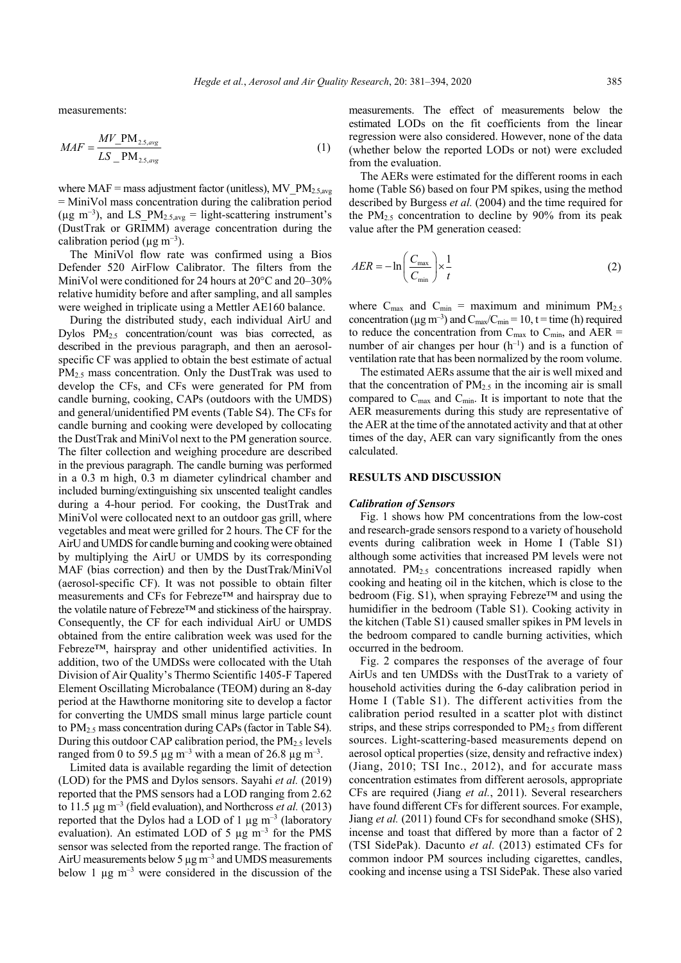measurements:

$$
MAF = \frac{MV_{.}PM_{2.5,avg}}{LS_{.}PM_{2.5,avg}}
$$
 (1)

where  $MAF =$  mass adjustment factor (unitless), MV\_PM<sub>2.5,avg</sub> = MiniVol mass concentration during the calibration period ( $\mu$ g m<sup>-3</sup>), and LS\_PM<sub>2.5,avg</sub> = light-scattering instrument's (DustTrak or GRIMM) average concentration during the calibration period ( $\mu$ g m<sup>-3</sup>).

The MiniVol flow rate was confirmed using a Bios Defender 520 AirFlow Calibrator. The filters from the MiniVol were conditioned for 24 hours at 20°C and 20–30% relative humidity before and after sampling, and all samples were weighed in triplicate using a Mettler AE160 balance.

During the distributed study, each individual AirU and Dylos  $PM_{2.5}$  concentration/count was bias corrected, as described in the previous paragraph, and then an aerosolspecific CF was applied to obtain the best estimate of actual PM<sub>2.5</sub> mass concentration. Only the DustTrak was used to develop the CFs, and CFs were generated for PM from candle burning, cooking, CAPs (outdoors with the UMDS) and general/unidentified PM events (Table S4). The CFs for candle burning and cooking were developed by collocating the DustTrak and MiniVol next to the PM generation source. The filter collection and weighing procedure are described in the previous paragraph. The candle burning was performed in a 0.3 m high, 0.3 m diameter cylindrical chamber and included burning/extinguishing six unscented tealight candles during a 4-hour period. For cooking, the DustTrak and MiniVol were collocated next to an outdoor gas grill, where vegetables and meat were grilled for 2 hours. The CF for the AirU and UMDS for candle burning and cooking were obtained by multiplying the AirU or UMDS by its corresponding MAF (bias correction) and then by the DustTrak/MiniVol (aerosol-specific CF). It was not possible to obtain filter measurements and CFs for Febreze™ and hairspray due to the volatile nature of Febreze™ and stickiness of the hairspray. Consequently, the CF for each individual AirU or UMDS obtained from the entire calibration week was used for the Febreze™, hairspray and other unidentified activities. In addition, two of the UMDSs were collocated with the Utah Division of Air Quality's Thermo Scientific 1405-F Tapered Element Oscillating Microbalance (TEOM) during an 8-day period at the Hawthorne monitoring site to develop a factor for converting the UMDS small minus large particle count to PM2.5 mass concentration during CAPs (factor in Table S4). During this outdoor CAP calibration period, the  $PM_{2.5}$  levels ranged from 0 to 59.5  $\mu$ g m<sup>-3</sup> with a mean of 26.8  $\mu$ g m<sup>-3</sup>.

Limited data is available regarding the limit of detection (LOD) for the PMS and Dylos sensors. Sayahi *et al.* (2019) reported that the PMS sensors had a LOD ranging from 2.62 to 11.5  $\mu$ g m<sup>-3</sup> (field evaluation), and Northcross *et al.* (2013) reported that the Dylos had a LOD of 1  $\mu$ g m<sup>-3</sup> (laboratory evaluation). An estimated LOD of 5  $\mu$ g m<sup>-3</sup> for the PMS sensor was selected from the reported range. The fraction of AirU measurements below 5  $\mu$ g m<sup>-3</sup> and UMDS measurements below 1  $\mu$ g m<sup>-3</sup> were considered in the discussion of the measurements. The effect of measurements below the estimated LODs on the fit coefficients from the linear regression were also considered. However, none of the data (whether below the reported LODs or not) were excluded from the evaluation.

The AERs were estimated for the different rooms in each home (Table S6) based on four PM spikes, using the method described by Burgess *et al.* (2004) and the time required for the  $PM_{2.5}$  concentration to decline by 90% from its peak value after the PM generation ceased:

$$
AER = -\ln\left(\frac{C_{\text{max}}}{C_{\text{min}}}\right) \times \frac{1}{t}
$$
 (2)

where  $C_{\text{max}}$  and  $C_{\text{min}}$  = maximum and minimum  $PM_{2.5}$ concentration ( $\mu$ g m<sup>-3</sup>) and C<sub>max</sub>/C<sub>min</sub> = 10, t = time (h) required to reduce the concentration from  $C_{\text{max}}$  to  $C_{\text{min}}$ , and  $AER =$ number of air changes per hour  $(h^{-1})$  and is a function of ventilation rate that has been normalized by the room volume.

The estimated AERs assume that the air is well mixed and that the concentration of  $PM<sub>2.5</sub>$  in the incoming air is small compared to  $C_{\text{max}}$  and  $C_{\text{min}}$ . It is important to note that the AER measurements during this study are representative of the AER at the time of the annotated activity and that at other times of the day, AER can vary significantly from the ones calculated.

### **RESULTS AND DISCUSSION**

#### *Calibration of Sensors*

Fig. 1 shows how PM concentrations from the low-cost and research-grade sensors respond to a variety of household events during calibration week in Home I (Table S1) although some activities that increased PM levels were not annotated.  $PM<sub>2.5</sub>$  concentrations increased rapidly when cooking and heating oil in the kitchen, which is close to the bedroom (Fig. S1), when spraying Febreze™ and using the humidifier in the bedroom (Table S1). Cooking activity in the kitchen (Table S1) caused smaller spikes in PM levels in the bedroom compared to candle burning activities, which occurred in the bedroom.

Fig. 2 compares the responses of the average of four AirUs and ten UMDSs with the DustTrak to a variety of household activities during the 6-day calibration period in Home I (Table S1). The different activities from the calibration period resulted in a scatter plot with distinct strips, and these strips corresponded to  $PM<sub>2.5</sub>$  from different sources. Light-scattering-based measurements depend on aerosol optical properties (size, density and refractive index) (Jiang, 2010; TSI Inc., 2012), and for accurate mass concentration estimates from different aerosols, appropriate CFs are required (Jiang *et al.*, 2011). Several researchers have found different CFs for different sources. For example, Jiang *et al.* (2011) found CFs for secondhand smoke (SHS), incense and toast that differed by more than a factor of 2 (TSI SidePak). Dacunto *et al.* (2013) estimated CFs for common indoor PM sources including cigarettes, candles, cooking and incense using a TSI SidePak. These also varied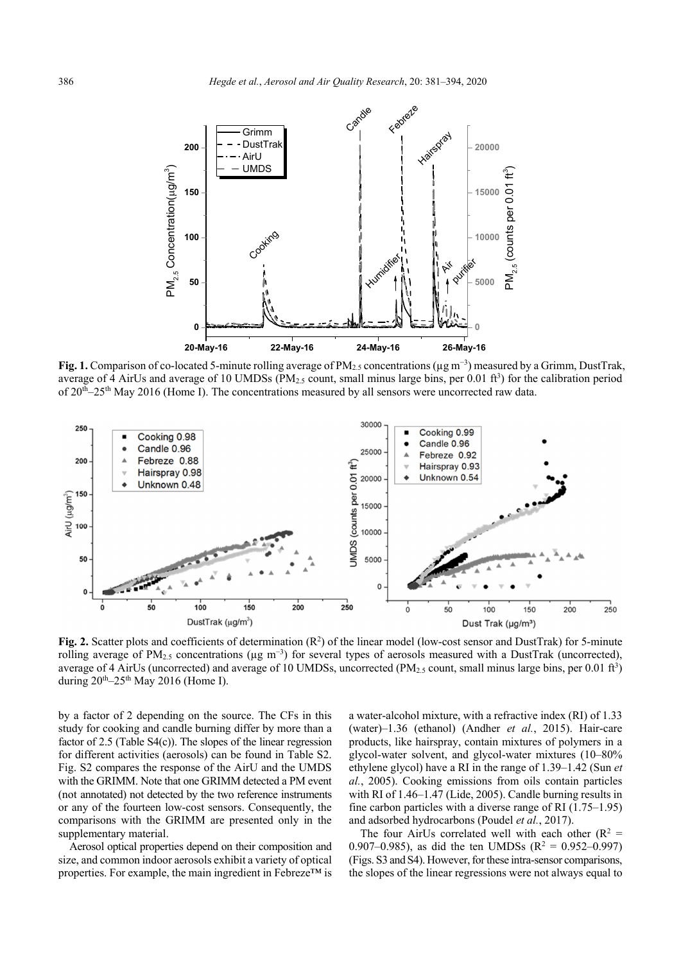

**Fig. 1.** Comparison of co-located 5-minute rolling average of PM2.5 concentrations (µg m<sup>−</sup><sup>3</sup> ) measured by a Grimm, DustTrak, average of 4 AirUs and average of 10 UMDSs ( $PM_{2.5}$  count, small minus large bins, per 0.01 ft<sup>3</sup>) for the calibration period of  $20<sup>th</sup>-25<sup>th</sup>$  May 2016 (Home I). The concentrations measured by all sensors were uncorrected raw data.



Fig. 2. Scatter plots and coefficients of determination (R<sup>2</sup>) of the linear model (low-cost sensor and DustTrak) for 5-minute rolling average of PM<sub>2.5</sub> concentrations (µg m<sup>-3</sup>) for several types of aerosols measured with a DustTrak (uncorrected), average of 4 AirUs (uncorrected) and average of 10 UMDSs, uncorrected (PM $_{2.5}$  count, small minus large bins, per 0.01 ft<sup>3</sup>) during  $20^{th}$ –25<sup>th</sup> May 2016 (Home I).

by a factor of 2 depending on the source. The CFs in this study for cooking and candle burning differ by more than a factor of 2.5 (Table S4(c)). The slopes of the linear regression for different activities (aerosols) can be found in Table S2. Fig. S2 compares the response of the AirU and the UMDS with the GRIMM. Note that one GRIMM detected a PM event (not annotated) not detected by the two reference instruments or any of the fourteen low-cost sensors. Consequently, the comparisons with the GRIMM are presented only in the supplementary material.

Aerosol optical properties depend on their composition and size, and common indoor aerosols exhibit a variety of optical properties. For example, the main ingredient in Febreze™ is

a water-alcohol mixture, with a refractive index (RI) of 1.33 (water)–1.36 (ethanol) (Andher *et al.*, 2015). Hair-care products, like hairspray, contain mixtures of polymers in a glycol-water solvent, and glycol-water mixtures (10–80% ethylene glycol) have a RI in the range of 1.39–1.42 (Sun *et al.*, 2005). Cooking emissions from oils contain particles with RI of 1.46–1.47 (Lide, 2005). Candle burning results in fine carbon particles with a diverse range of RI (1.75–1.95) and adsorbed hydrocarbons (Poudel *et al.*, 2017).

The four AirUs correlated well with each other  $(R^2 =$ 0.907–0.985), as did the ten UMDSs ( $R^2 = 0.952$ –0.997) (Figs. S3 and S4). However, for these intra-sensor comparisons, the slopes of the linear regressions were not always equal to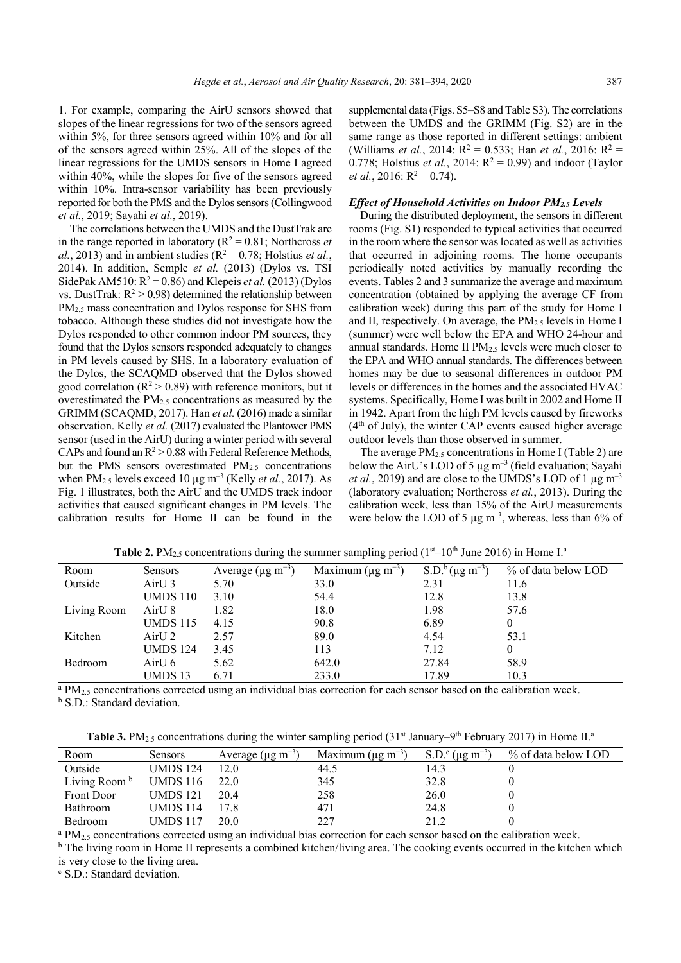1. For example, comparing the AirU sensors showed that slopes of the linear regressions for two of the sensors agreed within 5%, for three sensors agreed within 10% and for all of the sensors agreed within 25%. All of the slopes of the linear regressions for the UMDS sensors in Home I agreed within 40%, while the slopes for five of the sensors agreed within 10%. Intra-sensor variability has been previously reported for both the PMS and the Dylos sensors (Collingwood *et al.*, 2019; Sayahi *et al.*, 2019).

The correlations between the UMDS and the DustTrak are in the range reported in laboratory ( $R^2 = 0.81$ ; Northcross *et*  $al.$ , 2013) and in ambient studies ( $\mathbb{R}^2 = 0.78$ ; Holstius *et al.*, 2014). In addition, Semple *et al.* (2013) (Dylos vs. TSI SidePak AM510:  $R^2 = 0.86$ ) and Klepeis *et al.* (2013) (Dylos vs. DustTrak:  $R^2 > 0.98$ ) determined the relationship between PM<sub>2.5</sub> mass concentration and Dylos response for SHS from tobacco. Although these studies did not investigate how the Dylos responded to other common indoor PM sources, they found that the Dylos sensors responded adequately to changes in PM levels caused by SHS. In a laboratory evaluation of the Dylos, the SCAQMD observed that the Dylos showed good correlation ( $\mathbb{R}^2 > 0.89$ ) with reference monitors, but it overestimated the  $PM<sub>2.5</sub>$  concentrations as measured by the GRIMM (SCAQMD, 2017). Han *et al.* (2016) made a similar observation. Kelly *et al.* (2017) evaluated the Plantower PMS sensor (used in the AirU) during a winter period with several CAPs and found an  $R^2 > 0.88$  with Federal Reference Methods, but the PMS sensors overestimated PM<sub>2.5</sub> concentrations when  $PM_{2.5}$  levels exceed 10  $\mu$ g m<sup>-3</sup> (Kelly *et al.*, 2017). As Fig. 1 illustrates, both the AirU and the UMDS track indoor activities that caused significant changes in PM levels. The calibration results for Home II can be found in the

supplemental data (Figs. S5–S8 and Table S3). The correlations between the UMDS and the GRIMM (Fig. S2) are in the same range as those reported in different settings: ambient (Williams *et al.*, 2014:  $R^2 = 0.533$ ; Han *et al.*, 2016:  $R^2 =$ 0.778; Holstius *et al.*, 2014:  $R^2 = 0.99$ ) and indoor (Taylor *et al.*, 2016:  $R^2 = 0.74$ .

### *Effect of Household Activities on Indoor PM2.5 Levels*

During the distributed deployment, the sensors in different rooms (Fig. S1) responded to typical activities that occurred in the room where the sensor was located as well as activities that occurred in adjoining rooms. The home occupants periodically noted activities by manually recording the events. Tables 2 and 3 summarize the average and maximum concentration (obtained by applying the average CF from calibration week) during this part of the study for Home I and II, respectively. On average, the  $PM<sub>2.5</sub>$  levels in Home I (summer) were well below the EPA and WHO 24-hour and annual standards. Home II PM<sub>2.5</sub> levels were much closer to the EPA and WHO annual standards. The differences between homes may be due to seasonal differences in outdoor PM levels or differences in the homes and the associated HVAC systems. Specifically, Home I was built in 2002 and Home II in 1942. Apart from the high PM levels caused by fireworks  $(4<sup>th</sup>$  of July), the winter CAP events caused higher average outdoor levels than those observed in summer.

The average  $PM_2$ , concentrations in Home I (Table 2) are below the AirU's LOD of 5  $\mu$ g m<sup>-3</sup> (field evaluation; Sayahi *et al.*, 2019) and are close to the UMDS's LOD of 1  $\mu$ g m<sup>-3</sup> (laboratory evaluation; Northcross *et al.*, 2013). During the calibration week, less than 15% of the AirU measurements were below the LOD of 5  $\mu$ g m<sup>-3</sup>, whereas, less than 6% of

| Room        | <b>Sensors</b>  | Average ( $\mu$ g m <sup>-3</sup> ) | Maximum ( $\mu$ g m <sup>-3</sup> ) | S.D. <sup>b</sup> ( $\mu$ g m <sup>-3</sup> ) | % of data below LOD |
|-------------|-----------------|-------------------------------------|-------------------------------------|-----------------------------------------------|---------------------|
| Outside     | AirU 3          | 5.70                                | 33.0                                | 2.31                                          | 11.6                |
|             | <b>UMDS</b> 110 | 3.10                                | 54.4                                | 12.8                                          | 13.8                |
| Living Room | AirU 8          | l.82                                | 18.0                                | 1.98                                          | 57.6                |
|             | <b>UMDS</b> 115 | 4.15                                | 90.8                                | 6.89                                          | $\theta$            |
| Kitchen     | AirU 2          | 2.57                                | 89.0                                | 4.54                                          | 53.1                |
|             | <b>UMDS</b> 124 | 3.45                                | 113                                 | 7.12                                          | $\theta$            |
| Bedroom     | AirU 6          | 5.62                                | 642.0                               | 27.84                                         | 58.9                |
|             | UMDS 13         | 6.71                                | 233.0                               | 17.89                                         | 10.3                |
|             |                 |                                     |                                     |                                               |                     |

**Table 2.** PM<sub>2.5</sub> concentrations during the summer sampling period  $(1<sup>st</sup>-10<sup>th</sup>$  June 2016) in Home I.<sup>a</sup>

<sup>a</sup> PM<sub>2.5</sub> concentrations corrected using an individual bias correction for each sensor based on the calibration week. b S.D.: Standard deviation.

**Table 3.** PM<sub>2.5</sub> concentrations during the winter sampling period  $(31<sup>st</sup> January<sup>-9<sup>th</sup> February 2017)</sup>$  in Home II.<sup>a</sup>

| Room                     | <b>Sensors</b>  | Average ( $\mu$ g m <sup>-3</sup> ) | Maximum ( $\mu$ g m <sup>-3</sup> ) | S.D. <sup>c</sup> ( $\mu$ g m <sup>-3</sup> ) | % of data below LOD |
|--------------------------|-----------------|-------------------------------------|-------------------------------------|-----------------------------------------------|---------------------|
| Outside                  | <b>UMDS 124</b> | 12.0                                | 44.5                                | 14.3                                          |                     |
| Living Room <sup>b</sup> | <b>UMDS</b> 116 | 22.0                                | 345                                 | 32.8                                          |                     |
| Front Door               | <b>UMDS 121</b> | 20.4                                | 258                                 | 26.0                                          |                     |
| <b>Bathroom</b>          | <b>UMDS 114</b> | 17.8                                | 471                                 | 24.8                                          |                     |
| Bedroom                  | UMDS 117        | 20.0                                | 227                                 | 21.2                                          |                     |

<sup>a</sup> PM<sub>2.5</sub> concentrations corrected using an individual bias correction for each sensor based on the calibration week.

<sup>b</sup> The living room in Home II represents a combined kitchen/living area. The cooking events occurred in the kitchen which is very close to the living area.

c S.D.: Standard deviation.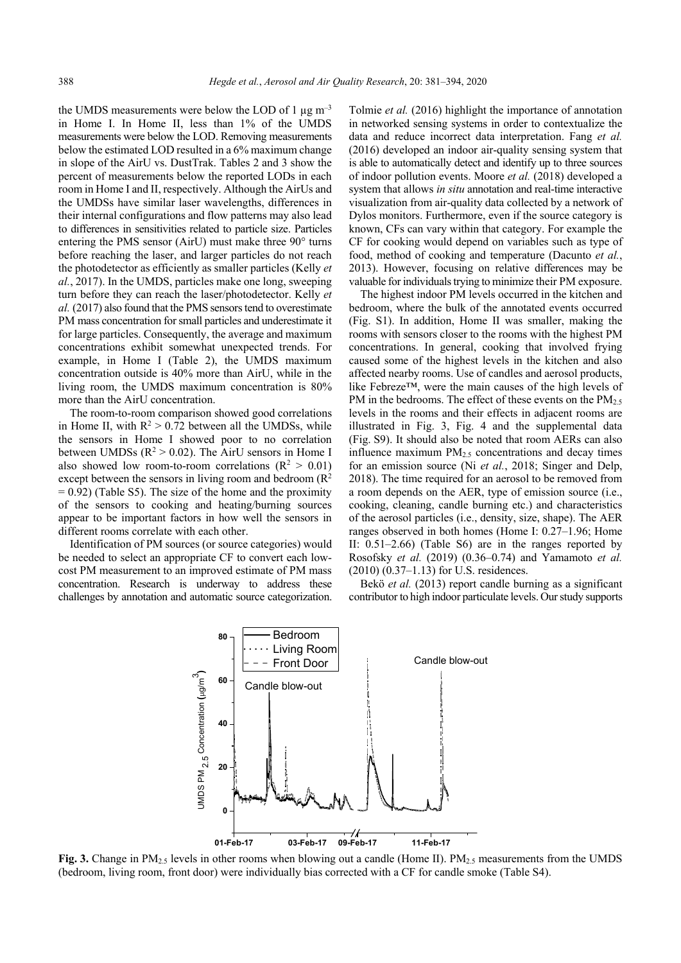the UMDS measurements were below the LOD of 1  $\mu$ g m<sup>-3</sup> in Home I. In Home II, less than 1% of the UMDS measurements were below the LOD. Removing measurements below the estimated LOD resulted in a 6% maximum change in slope of the AirU vs. DustTrak. Tables 2 and 3 show the percent of measurements below the reported LODs in each room in Home I and II, respectively. Although the AirUs and the UMDSs have similar laser wavelengths, differences in their internal configurations and flow patterns may also lead to differences in sensitivities related to particle size. Particles entering the PMS sensor (AirU) must make three 90° turns before reaching the laser, and larger particles do not reach the photodetector as efficiently as smaller particles (Kelly *et al.*, 2017). In the UMDS, particles make one long, sweeping turn before they can reach the laser/photodetector. Kelly *et al.* (2017) also found that the PMS sensors tend to overestimate PM mass concentration for small particles and underestimate it for large particles. Consequently, the average and maximum concentrations exhibit somewhat unexpected trends. For example, in Home I (Table 2), the UMDS maximum concentration outside is 40% more than AirU, while in the living room, the UMDS maximum concentration is 80% more than the AirU concentration.

The room-to-room comparison showed good correlations in Home II, with  $R^2 > 0.72$  between all the UMDSs, while the sensors in Home I showed poor to no correlation between UMDSs  $(R^2 > 0.02)$ . The AirU sensors in Home I also showed low room-to-room correlations ( $\mathbb{R}^2 > 0.01$ ) except between the sensors in living room and bedroom  $(R^2)$  $= 0.92$ ) (Table S5). The size of the home and the proximity of the sensors to cooking and heating/burning sources appear to be important factors in how well the sensors in different rooms correlate with each other.

Identification of PM sources (or source categories) would be needed to select an appropriate CF to convert each lowcost PM measurement to an improved estimate of PM mass concentration. Research is underway to address these challenges by annotation and automatic source categorization. Tolmie *et al.* (2016) highlight the importance of annotation in networked sensing systems in order to contextualize the data and reduce incorrect data interpretation. Fang *et al.* (2016) developed an indoor air-quality sensing system that is able to automatically detect and identify up to three sources of indoor pollution events. Moore *et al.* (2018) developed a system that allows *in situ* annotation and real-time interactive visualization from air-quality data collected by a network of Dylos monitors. Furthermore, even if the source category is known, CFs can vary within that category. For example the CF for cooking would depend on variables such as type of food, method of cooking and temperature (Dacunto *et al.*, 2013). However, focusing on relative differences may be valuable for individuals trying to minimize their PM exposure.

The highest indoor PM levels occurred in the kitchen and bedroom, where the bulk of the annotated events occurred (Fig. S1). In addition, Home II was smaller, making the rooms with sensors closer to the rooms with the highest PM concentrations. In general, cooking that involved frying caused some of the highest levels in the kitchen and also affected nearby rooms. Use of candles and aerosol products, like Febreze™, were the main causes of the high levels of PM in the bedrooms. The effect of these events on the  $PM_{2.5}$ levels in the rooms and their effects in adjacent rooms are illustrated in Fig. 3, Fig. 4 and the supplemental data (Fig. S9). It should also be noted that room AERs can also influence maximum  $PM<sub>2.5</sub>$  concentrations and decay times for an emission source (Ni *et al.*, 2018; Singer and Delp, 2018). The time required for an aerosol to be removed from a room depends on the AER, type of emission source (i.e., cooking, cleaning, candle burning etc.) and characteristics of the aerosol particles (i.e., density, size, shape). The AER ranges observed in both homes (Home I: 0.27–1.96; Home II: 0.51–2.66) (Table S6) are in the ranges reported by Rosofsky *et al.* (2019) (0.36–0.74) and Yamamoto *et al.*  (2010) (0.37–1.13) for U.S. residences.

Bekö *et al.* (2013) report candle burning as a significant contributor to high indoor particulate levels. Our study supports



**Fig. 3.** Change in PM<sub>2.5</sub> levels in other rooms when blowing out a candle (Home II). PM<sub>2.5</sub> measurements from the UMDS (bedroom, living room, front door) were individually bias corrected with a CF for candle smoke (Table S4).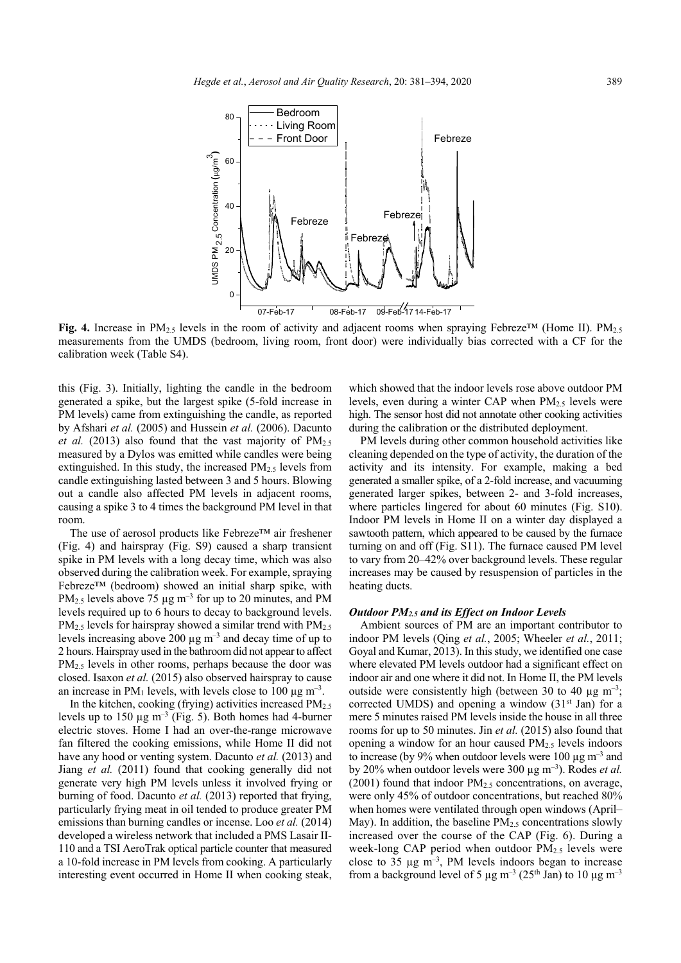

**Fig. 4.** Increase in PM2.5 levels in the room of activity and adjacent rooms when spraying Febreze™ (Home II). PM2.5 measurements from the UMDS (bedroom, living room, front door) were individually bias corrected with a CF for the calibration week (Table S4).

this (Fig. 3). Initially, lighting the candle in the bedroom generated a spike, but the largest spike (5-fold increase in PM levels) came from extinguishing the candle, as reported by Afshari *et al.* (2005) and Hussein *et al.* (2006). Dacunto *et al.* (2013) also found that the vast majority of  $PM_{2.5}$ measured by a Dylos was emitted while candles were being extinguished. In this study, the increased PM2.5 levels from candle extinguishing lasted between 3 and 5 hours. Blowing out a candle also affected PM levels in adjacent rooms, causing a spike 3 to 4 times the background PM level in that room.

The use of aerosol products like Febreze™ air freshener (Fig. 4) and hairspray (Fig. S9) caused a sharp transient spike in PM levels with a long decay time, which was also observed during the calibration week. For example, spraying Febreze™ (bedroom) showed an initial sharp spike, with PM<sub>2.5</sub> levels above 75  $\mu$ g m<sup>-3</sup> for up to 20 minutes, and PM levels required up to 6 hours to decay to background levels.  $PM<sub>2.5</sub>$  levels for hairspray showed a similar trend with  $PM<sub>2.5</sub>$ levels increasing above 200  $\mu$ g m<sup>-3</sup> and decay time of up to 2 hours. Hairspray used in the bathroom did not appear to affect PM2.5 levels in other rooms, perhaps because the door was closed. Isaxon *et al.* (2015) also observed hairspray to cause an increase in  $PM_1$  levels, with levels close to 100  $\mu$ g m<sup>-3</sup>.

In the kitchen, cooking (frying) activities increased  $PM<sub>2.5</sub>$ levels up to 150  $\mu$ g m<sup>-3</sup> (Fig. 5). Both homes had 4-burner electric stoves. Home I had an over-the-range microwave fan filtered the cooking emissions, while Home II did not have any hood or venting system. Dacunto *et al.* (2013) and Jiang *et al.* (2011) found that cooking generally did not generate very high PM levels unless it involved frying or burning of food. Dacunto *et al.* (2013) reported that frying, particularly frying meat in oil tended to produce greater PM emissions than burning candles or incense. Loo *et al.* (2014) developed a wireless network that included a PMS Lasair II-110 and a TSI AeroTrak optical particle counter that measured a 10-fold increase in PM levels from cooking. A particularly interesting event occurred in Home II when cooking steak,

which showed that the indoor levels rose above outdoor PM levels, even during a winter CAP when  $PM_{2.5}$  levels were high. The sensor host did not annotate other cooking activities during the calibration or the distributed deployment.

PM levels during other common household activities like cleaning depended on the type of activity, the duration of the activity and its intensity. For example, making a bed generated a smaller spike, of a 2-fold increase, and vacuuming generated larger spikes, between 2- and 3-fold increases, where particles lingered for about 60 minutes (Fig. S10). Indoor PM levels in Home II on a winter day displayed a sawtooth pattern, which appeared to be caused by the furnace turning on and off (Fig. S11). The furnace caused PM level to vary from 20–42% over background levels. These regular increases may be caused by resuspension of particles in the heating ducts.

### *Outdoor PM2.5 and its Effect on Indoor Levels*

Ambient sources of PM are an important contributor to indoor PM levels (Qing *et al.*, 2005; Wheeler *et al.*, 2011; Goyal and Kumar, 2013). In this study, we identified one case where elevated PM levels outdoor had a significant effect on indoor air and one where it did not. In Home II, the PM levels outside were consistently high (between 30 to 40  $\mu$ g m<sup>-3</sup>; corrected UMDS) and opening a window (31<sup>st</sup> Jan) for a mere 5 minutes raised PM levels inside the house in all three rooms for up to 50 minutes. Jin *et al.* (2015) also found that opening a window for an hour caused PM2.5 levels indoors to increase (by 9% when outdoor levels were 100  $\mu$ g m<sup>-3</sup> and by 20% when outdoor levels were 300 µg m–3). Rodes *et al.* (2001) found that indoor  $PM<sub>2.5</sub>$  concentrations, on average, were only 45% of outdoor concentrations, but reached 80% when homes were ventilated through open windows (April– May). In addition, the baseline  $PM<sub>2.5</sub>$  concentrations slowly increased over the course of the CAP (Fig. 6). During a week-long CAP period when outdoor  $PM<sub>2.5</sub>$  levels were close to 35  $\mu$ g m<sup>-3</sup>, PM levels indoors began to increase from a background level of 5  $\mu$ g m<sup>-3</sup> (25<sup>th</sup> Jan) to 10  $\mu$ g m<sup>-3</sup>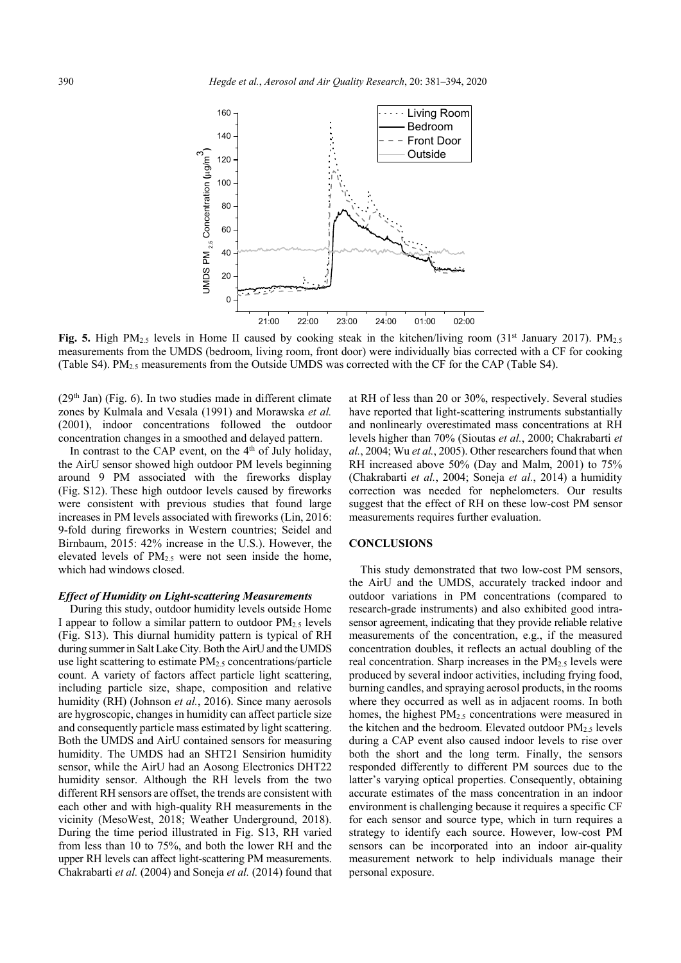

Fig. 5. High PM<sub>2.5</sub> levels in Home II caused by cooking steak in the kitchen/living room (31<sup>st</sup> January 2017). PM<sub>2.5</sub> measurements from the UMDS (bedroom, living room, front door) were individually bias corrected with a CF for cooking (Table S4). PM2.5 measurements from the Outside UMDS was corrected with the CF for the CAP (Table S4).

 $(29<sup>th</sup> Jan)$  (Fig. 6). In two studies made in different climate zones by Kulmala and Vesala (1991) and Morawska *et al.* (2001), indoor concentrations followed the outdoor concentration changes in a smoothed and delayed pattern.

In contrast to the CAP event, on the 4<sup>th</sup> of July holiday, the AirU sensor showed high outdoor PM levels beginning around 9 PM associated with the fireworks display (Fig. S12). These high outdoor levels caused by fireworks were consistent with previous studies that found large increases in PM levels associated with fireworks (Lin, 2016: 9-fold during fireworks in Western countries; Seidel and Birnbaum, 2015: 42% increase in the U.S.). However, the elevated levels of PM2.5 were not seen inside the home, which had windows closed.

### *Effect of Humidity on Light-scattering Measurements*

During this study, outdoor humidity levels outside Home I appear to follow a similar pattern to outdoor  $PM_2$ , levels (Fig. S13). This diurnal humidity pattern is typical of RH during summer in Salt Lake City. Both the AirU and the UMDS use light scattering to estimate  $PM<sub>2.5</sub>$  concentrations/particle count. A variety of factors affect particle light scattering, including particle size, shape, composition and relative humidity (RH) (Johnson *et al.*, 2016). Since many aerosols are hygroscopic, changes in humidity can affect particle size and consequently particle mass estimated by light scattering. Both the UMDS and AirU contained sensors for measuring humidity. The UMDS had an SHT21 Sensirion humidity sensor, while the AirU had an Aosong Electronics DHT22 humidity sensor. Although the RH levels from the two different RH sensors are offset, the trends are consistent with each other and with high-quality RH measurements in the vicinity (MesoWest, 2018; Weather Underground, 2018). During the time period illustrated in Fig. S13, RH varied from less than 10 to 75%, and both the lower RH and the upper RH levels can affect light-scattering PM measurements. Chakrabarti *et al.* (2004) and Soneja *et al.* (2014) found that

at RH of less than 20 or 30%, respectively. Several studies have reported that light-scattering instruments substantially and nonlinearly overestimated mass concentrations at RH levels higher than 70% (Sioutas *et al.*, 2000; Chakrabarti *et al.*, 2004; Wu *et al.*, 2005). Other researchers found that when RH increased above 50% (Day and Malm, 2001) to 75% (Chakrabarti *et al.*, 2004; Soneja *et al.*, 2014) a humidity correction was needed for nephelometers. Our results suggest that the effect of RH on these low-cost PM sensor measurements requires further evaluation.

# **CONCLUSIONS**

This study demonstrated that two low-cost PM sensors, the AirU and the UMDS, accurately tracked indoor and outdoor variations in PM concentrations (compared to research-grade instruments) and also exhibited good intrasensor agreement, indicating that they provide reliable relative measurements of the concentration, e.g., if the measured concentration doubles, it reflects an actual doubling of the real concentration. Sharp increases in the  $PM<sub>2.5</sub>$  levels were produced by several indoor activities, including frying food, burning candles, and spraying aerosol products, in the rooms where they occurred as well as in adjacent rooms. In both homes, the highest  $PM<sub>2.5</sub>$  concentrations were measured in the kitchen and the bedroom. Elevated outdoor PM2.5 levels during a CAP event also caused indoor levels to rise over both the short and the long term. Finally, the sensors responded differently to different PM sources due to the latter's varying optical properties. Consequently, obtaining accurate estimates of the mass concentration in an indoor environment is challenging because it requires a specific CF for each sensor and source type, which in turn requires a strategy to identify each source. However, low-cost PM sensors can be incorporated into an indoor air-quality measurement network to help individuals manage their personal exposure.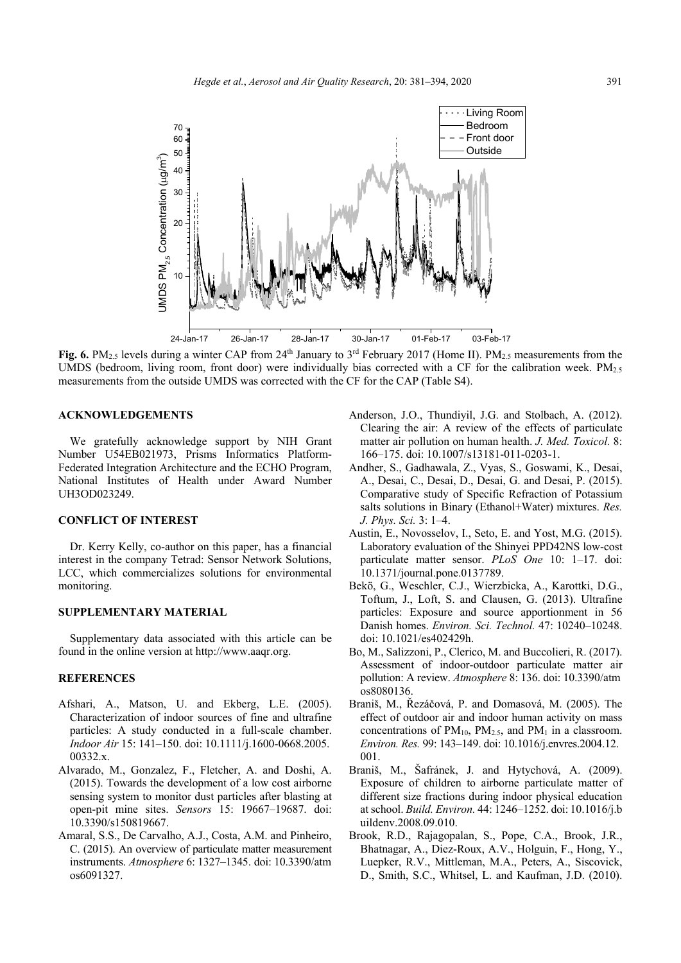

**Fig. 6.** PM<sub>2.5</sub> levels during a winter CAP from  $24<sup>th</sup>$  January to  $3<sup>rd</sup>$  February 2017 (Home II). PM<sub>2.5</sub> measurements from the UMDS (bedroom, living room, front door) were individually bias corrected with a CF for the calibration week.  $PM_{2.5}$ measurements from the outside UMDS was corrected with the CF for the CAP (Table S4).

## **ACKNOWLEDGEMENTS**

We gratefully acknowledge support by NIH Grant Number U54EB021973, Prisms Informatics Platform-Federated Integration Architecture and the ECHO Program, National Institutes of Health under Award Number UH3OD023249.

# **CONFLICT OF INTEREST**

Dr. Kerry Kelly, co-author on this paper, has a financial interest in the company Tetrad: Sensor Network Solutions, LCC, which commercializes solutions for environmental monitoring.

# **SUPPLEMENTARY MATERIAL**

Supplementary data associated with this article can be found in the online version at http://www.aaqr.org.

### **REFERENCES**

- Afshari, A., Matson, U. and Ekberg, L.E. (2005). Characterization of indoor sources of fine and ultrafine particles: A study conducted in a full-scale chamber. *Indoor Air* 15: 141–150. doi: 10.1111/j.1600-0668.2005. 00332.x.
- Alvarado, M., Gonzalez, F., Fletcher, A. and Doshi, A. (2015). Towards the development of a low cost airborne sensing system to monitor dust particles after blasting at open-pit mine sites. *Sensors* 15: 19667–19687. doi: 10.3390/s150819667.
- Amaral, S.S., De Carvalho, A.J., Costa, A.M. and Pinheiro, C. (2015). An overview of particulate matter measurement instruments. *Atmosphere* 6: 1327–1345. doi: 10.3390/atm os6091327.
- Anderson, J.O., Thundiyil, J.G. and Stolbach, A. (2012). Clearing the air: A review of the effects of particulate matter air pollution on human health. *J. Med. Toxicol.* 8: 166–175. doi: 10.1007/s13181-011-0203-1.
- Andher, S., Gadhawala, Z., Vyas, S., Goswami, K., Desai, A., Desai, C., Desai, D., Desai, G. and Desai, P. (2015). Comparative study of Specific Refraction of Potassium salts solutions in Binary (Ethanol+Water) mixtures. *Res. J. Phys. Sci.* 3: 1–4.
- Austin, E., Novosselov, I., Seto, E. and Yost, M.G. (2015). Laboratory evaluation of the Shinyei PPD42NS low-cost particulate matter sensor. *PLoS One* 10: 1–17. doi: 10.1371/journal.pone.0137789.
- Bekö, G., Weschler, C.J., Wierzbicka, A., Karottki, D.G., Toftum, J., Loft, S. and Clausen, G. (2013). Ultrafine particles: Exposure and source apportionment in 56 Danish homes. *Environ. Sci. Technol.* 47: 10240–10248. doi: 10.1021/es402429h.
- Bo, M., Salizzoni, P., Clerico, M. and Buccolieri, R. (2017). Assessment of indoor-outdoor particulate matter air pollution: A review. *Atmosphere* 8: 136. doi: 10.3390/atm os8080136.
- Braniš, M., Řezáčová, P. and Domasová, M. (2005). The effect of outdoor air and indoor human activity on mass concentrations of  $PM_{10}$ ,  $PM_{2.5}$ , and  $PM_1$  in a classroom. *Environ. Res.* 99: 143–149. doi: 10.1016/j.envres.2004.12. 001.
- Braniš, M., Šafránek, J. and Hytychová, A. (2009). Exposure of children to airborne particulate matter of different size fractions during indoor physical education at school. *Build. Environ.* 44: 1246–1252. doi: 10.1016/j.b uildenv.2008.09.010.
- Brook, R.D., Rajagopalan, S., Pope, C.A., Brook, J.R., Bhatnagar, A., Diez-Roux, A.V., Holguin, F., Hong, Y., Luepker, R.V., Mittleman, M.A., Peters, A., Siscovick, D., Smith, S.C., Whitsel, L. and Kaufman, J.D. (2010).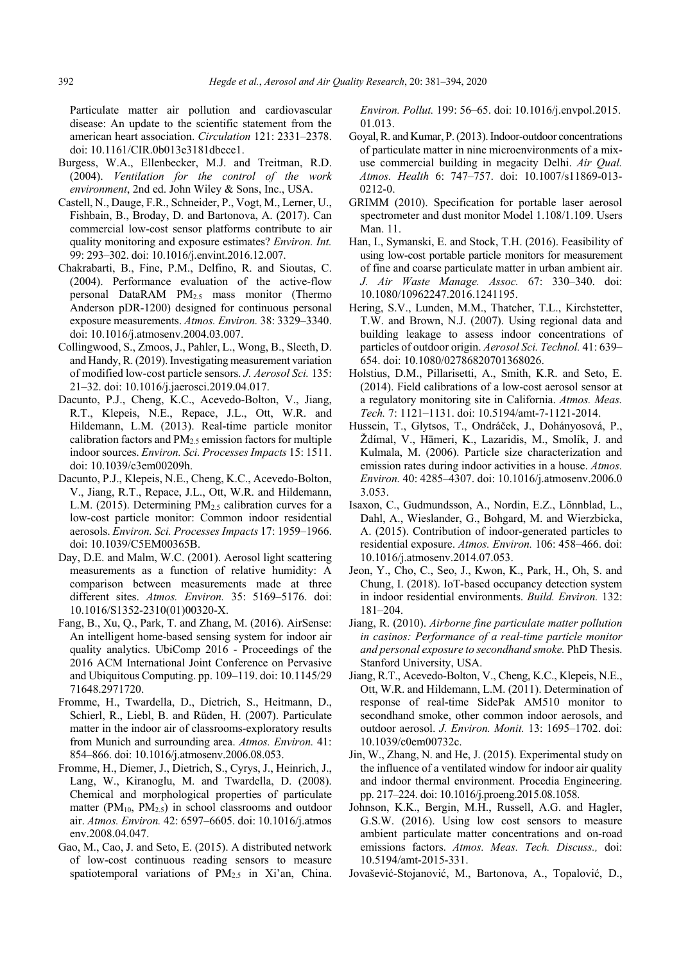Particulate matter air pollution and cardiovascular disease: An update to the scientific statement from the american heart association. *Circulation* 121: 2331–2378. doi: 10.1161/CIR.0b013e3181dbece1.

- Burgess, W.A., Ellenbecker, M.J. and Treitman, R.D. (2004). *Ventilation for the control of the work environment*, 2nd ed. John Wiley & Sons, Inc., USA.
- Castell, N., Dauge, F.R., Schneider, P., Vogt, M., Lerner, U., Fishbain, B., Broday, D. and Bartonova, A. (2017). Can commercial low-cost sensor platforms contribute to air quality monitoring and exposure estimates? *Environ. Int.*  99: 293–302. doi: 10.1016/j.envint.2016.12.007.
- Chakrabarti, B., Fine, P.M., Delfino, R. and Sioutas, C. (2004). Performance evaluation of the active-flow personal DataRAM PM2.5 mass monitor (Thermo Anderson pDR-1200) designed for continuous personal exposure measurements. *Atmos. Environ.* 38: 3329–3340. doi: 10.1016/j.atmosenv.2004.03.007.
- Collingwood, S., Zmoos, J., Pahler, L., Wong, B., Sleeth, D. and Handy, R. (2019). Investigating measurement variation of modified low-cost particle sensors. *J. Aerosol Sci.* 135: 21–32. doi: 10.1016/j.jaerosci.2019.04.017.
- Dacunto, P.J., Cheng, K.C., Acevedo-Bolton, V., Jiang, R.T., Klepeis, N.E., Repace, J.L., Ott, W.R. and Hildemann, L.M. (2013). Real-time particle monitor calibration factors and  $PM<sub>2.5</sub>$  emission factors for multiple indoor sources. *Environ. Sci. Processes Impacts* 15: 1511. doi: 10.1039/c3em00209h.
- Dacunto, P.J., Klepeis, N.E., Cheng, K.C., Acevedo-Bolton, V., Jiang, R.T., Repace, J.L., Ott, W.R. and Hildemann, L.M. (2015). Determining PM<sub>2.5</sub> calibration curves for a low-cost particle monitor: Common indoor residential aerosols. *Environ. Sci. Processes Impacts* 17: 1959–1966. doi: 10.1039/C5EM00365B.
- Day, D.E. and Malm, W.C. (2001). Aerosol light scattering measurements as a function of relative humidity: A comparison between measurements made at three different sites. *Atmos. Environ.* 35: 5169–5176. doi: 10.1016/S1352-2310(01)00320-X.
- Fang, B., Xu, Q., Park, T. and Zhang, M. (2016). AirSense: An intelligent home-based sensing system for indoor air quality analytics. UbiComp 2016 - Proceedings of the 2016 ACM International Joint Conference on Pervasive and Ubiquitous Computing. pp. 109–119. doi: 10.1145/29 71648.2971720.
- Fromme, H., Twardella, D., Dietrich, S., Heitmann, D., Schierl, R., Liebl, B. and Rüden, H. (2007). Particulate matter in the indoor air of classrooms-exploratory results from Munich and surrounding area. *Atmos. Environ.* 41: 854–866. doi: 10.1016/j.atmosenv.2006.08.053.
- Fromme, H., Diemer, J., Dietrich, S., Cyrys, J., Heinrich, J., Lang, W., Kiranoglu, M. and Twardella, D. (2008). Chemical and morphological properties of particulate matter ( $PM_{10}$ ,  $PM_{2.5}$ ) in school classrooms and outdoor air. *Atmos. Environ.* 42: 6597–6605. doi: 10.1016/j.atmos env.2008.04.047.
- Gao, M., Cao, J. and Seto, E. (2015). A distributed network of low-cost continuous reading sensors to measure spatiotemporal variations of PM<sub>2.5</sub> in Xi'an, China.

*Environ. Pollut.* 199: 56–65. doi: 10.1016/j.envpol.2015. 01.013.

- Goyal, R. and Kumar, P. (2013). Indoor-outdoor concentrations of particulate matter in nine microenvironments of a mixuse commercial building in megacity Delhi. *Air Qual. Atmos. Health* 6: 747–757. doi: 10.1007/s11869-013- 0212-0.
- GRIMM (2010). Specification for portable laser aerosol spectrometer and dust monitor Model 1.108/1.109. Users Man. 11.
- Han, I., Symanski, E. and Stock, T.H. (2016). Feasibility of using low-cost portable particle monitors for measurement of fine and coarse particulate matter in urban ambient air. *J. Air Waste Manage. Assoc.* 67: 330–340. doi: 10.1080/10962247.2016.1241195.
- Hering, S.V., Lunden, M.M., Thatcher, T.L., Kirchstetter, T.W. and Brown, N.J. (2007). Using regional data and building leakage to assess indoor concentrations of particles of outdoor origin. *Aerosol Sci. Technol.* 41: 639– 654. doi: 10.1080/02786820701368026.
- Holstius, D.M., Pillarisetti, A., Smith, K.R. and Seto, E. (2014). Field calibrations of a low-cost aerosol sensor at a regulatory monitoring site in California. *Atmos. Meas. Tech.* 7: 1121–1131. doi: 10.5194/amt-7-1121-2014.
- Hussein, T., Glytsos, T., Ondráček, J., Dohányosová, P., Ždímal, V., Hämeri, K., Lazaridis, M., Smolík, J. and Kulmala, M. (2006). Particle size characterization and emission rates during indoor activities in a house. *Atmos. Environ.* 40: 4285–4307. doi: 10.1016/j.atmosenv.2006.0 3.053.
- Isaxon, C., Gudmundsson, A., Nordin, E.Z., Lönnblad, L., Dahl, A., Wieslander, G., Bohgard, M. and Wierzbicka, A. (2015). Contribution of indoor-generated particles to residential exposure. *Atmos. Environ.* 106: 458–466. doi: 10.1016/j.atmosenv.2014.07.053.
- Jeon, Y., Cho, C., Seo, J., Kwon, K., Park, H., Oh, S. and Chung, I. (2018). IoT-based occupancy detection system in indoor residential environments. *Build. Environ.* 132: 181–204.
- Jiang, R. (2010). *Airborne fine particulate matter pollution in casinos: Performance of a real-time particle monitor and personal exposure to secondhand smoke.* PhD Thesis. Stanford University, USA.
- Jiang, R.T., Acevedo-Bolton, V., Cheng, K.C., Klepeis, N.E., Ott, W.R. and Hildemann, L.M. (2011). Determination of response of real-time SidePak AM510 monitor to secondhand smoke, other common indoor aerosols, and outdoor aerosol. *J. Environ. Monit.* 13: 1695–1702. doi: 10.1039/c0em00732c.
- Jin, W., Zhang, N. and He, J. (2015). Experimental study on the influence of a ventilated window for indoor air quality and indoor thermal environment. Procedia Engineering. pp. 217–224. doi: 10.1016/j.proeng.2015.08.1058.
- Johnson, K.K., Bergin, M.H., Russell, A.G. and Hagler, G.S.W. (2016). Using low cost sensors to measure ambient particulate matter concentrations and on-road emissions factors. *Atmos. Meas. Tech. Discuss.,* doi: 10.5194/amt-2015-331.
- Jovašević-Stojanović, M., Bartonova, A., Topalović, D.,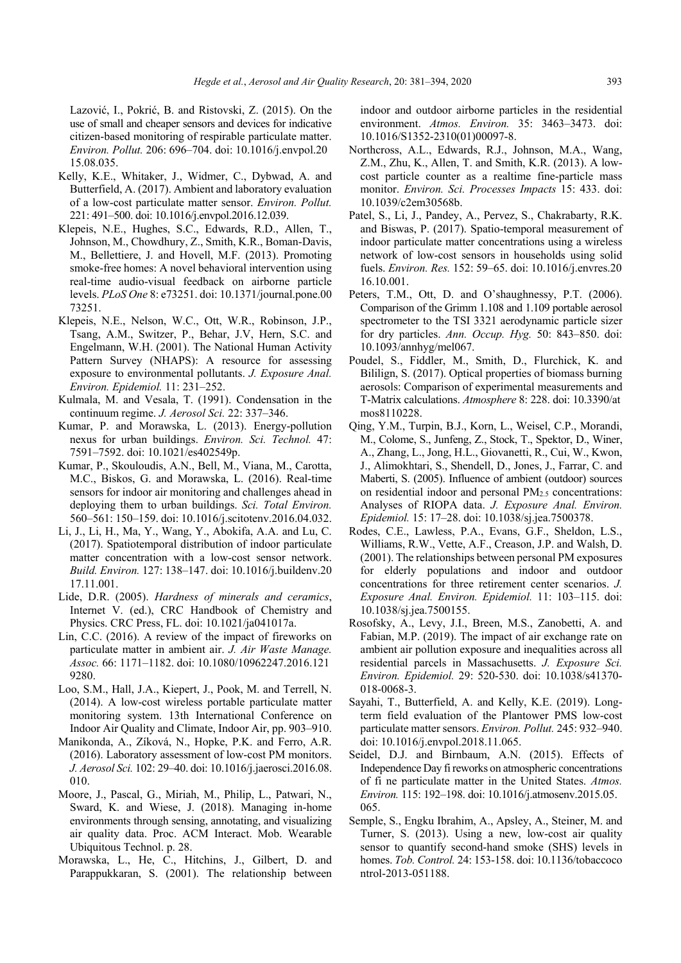Lazović, I., Pokrić, B. and Ristovski, Z. (2015). On the use of small and cheaper sensors and devices for indicative citizen-based monitoring of respirable particulate matter. *Environ. Pollut.* 206: 696–704. doi: 10.1016/j.envpol.20 15.08.035.

- Kelly, K.E., Whitaker, J., Widmer, C., Dybwad, A. and Butterfield, A. (2017). Ambient and laboratory evaluation of a low-cost particulate matter sensor. *Environ. Pollut.* 221: 491–500. doi: 10.1016/j.envpol.2016.12.039.
- Klepeis, N.E., Hughes, S.C., Edwards, R.D., Allen, T., Johnson, M., Chowdhury, Z., Smith, K.R., Boman-Davis, M., Bellettiere, J. and Hovell, M.F. (2013). Promoting smoke-free homes: A novel behavioral intervention using real-time audio-visual feedback on airborne particle levels. *PLoS One* 8: e73251. doi: 10.1371/journal.pone.00 73251.
- Klepeis, N.E., Nelson, W.C., Ott, W.R., Robinson, J.P., Tsang, A.M., Switzer, P., Behar, J.V, Hern, S.C. and Engelmann, W.H. (2001). The National Human Activity Pattern Survey (NHAPS): A resource for assessing exposure to environmental pollutants. *J. Exposure Anal. Environ. Epidemiol.* 11: 231–252.
- Kulmala, M. and Vesala, T. (1991). Condensation in the continuum regime. *J. Aerosol Sci.* 22: 337–346.
- Kumar, P. and Morawska, L. (2013). Energy-pollution nexus for urban buildings. *Environ. Sci. Technol.* 47: 7591–7592. doi: 10.1021/es402549p.
- Kumar, P., Skouloudis, A.N., Bell, M., Viana, M., Carotta, M.C., Biskos, G. and Morawska, L. (2016). Real-time sensors for indoor air monitoring and challenges ahead in deploying them to urban buildings. *Sci. Total Environ.* 560–561: 150–159. doi: 10.1016/j.scitotenv.2016.04.032.
- Li, J., Li, H., Ma, Y., Wang, Y., Abokifa, A.A. and Lu, C. (2017). Spatiotemporal distribution of indoor particulate matter concentration with a low-cost sensor network. *Build. Environ.* 127: 138–147. doi: 10.1016/j.buildenv.20 17.11.001.
- Lide, D.R. (2005). *Hardness of minerals and ceramics*, Internet V. (ed.), CRC Handbook of Chemistry and Physics. CRC Press, FL. doi: 10.1021/ja041017a.
- Lin, C.C. (2016). A review of the impact of fireworks on particulate matter in ambient air. *J. Air Waste Manage. Assoc.* 66: 1171–1182. doi: 10.1080/10962247.2016.121 9280.
- Loo, S.M., Hall, J.A., Kiepert, J., Pook, M. and Terrell, N. (2014). A low-cost wireless portable particulate matter monitoring system. 13th International Conference on Indoor Air Quality and Climate, Indoor Air, pp. 903–910.
- Manikonda, A., Zíková, N., Hopke, P.K. and Ferro, A.R. (2016). Laboratory assessment of low-cost PM monitors. *J. Aerosol Sci.* 102: 29–40. doi: 10.1016/j.jaerosci.2016.08. 010.
- Moore, J., Pascal, G., Miriah, M., Philip, L., Patwari, N., Sward, K. and Wiese, J. (2018). Managing in-home environments through sensing, annotating, and visualizing air quality data. Proc. ACM Interact. Mob. Wearable Ubiquitous Technol. p. 28.
- Morawska, L., He, C., Hitchins, J., Gilbert, D. and Parappukkaran, S. (2001). The relationship between

indoor and outdoor airborne particles in the residential environment. *Atmos. Environ.* 35: 3463–3473. doi: 10.1016/S1352-2310(01)00097-8.

- Northcross, A.L., Edwards, R.J., Johnson, M.A., Wang, Z.M., Zhu, K., Allen, T. and Smith, K.R. (2013). A lowcost particle counter as a realtime fine-particle mass monitor. *Environ. Sci. Processes Impacts* 15: 433. doi: 10.1039/c2em30568b.
- Patel, S., Li, J., Pandey, A., Pervez, S., Chakrabarty, R.K. and Biswas, P. (2017). Spatio-temporal measurement of indoor particulate matter concentrations using a wireless network of low-cost sensors in households using solid fuels. *Environ. Res.* 152: 59–65. doi: 10.1016/j.envres.20 16.10.001.
- Peters, T.M., Ott, D. and O'shaughnessy, P.T. (2006). Comparison of the Grimm 1.108 and 1.109 portable aerosol spectrometer to the TSI 3321 aerodynamic particle sizer for dry particles. *Ann. Occup. Hyg.* 50: 843–850. doi: 10.1093/annhyg/mel067.
- Poudel, S., Fiddler, M., Smith, D., Flurchick, K. and Bililign, S. (2017). Optical properties of biomass burning aerosols: Comparison of experimental measurements and T-Matrix calculations. *Atmosphere* 8: 228. doi: 10.3390/at mos8110228.
- Qing, Y.M., Turpin, B.J., Korn, L., Weisel, C.P., Morandi, M., Colome, S., Junfeng, Z., Stock, T., Spektor, D., Winer, A., Zhang, L., Jong, H.L., Giovanetti, R., Cui, W., Kwon, J., Alimokhtari, S., Shendell, D., Jones, J., Farrar, C. and Maberti, S. (2005). Influence of ambient (outdoor) sources on residential indoor and personal PM<sub>2.5</sub> concentrations: Analyses of RIOPA data. *J. Exposure Anal. Environ. Epidemiol.* 15: 17–28. doi: 10.1038/sj.jea.7500378.
- Rodes, C.E., Lawless, P.A., Evans, G.F., Sheldon, L.S., Williams, R.W., Vette, A.F., Creason, J.P. and Walsh, D. (2001). The relationships between personal PM exposures for elderly populations and indoor and outdoor concentrations for three retirement center scenarios. *J. Exposure Anal. Environ. Epidemiol.* 11: 103–115. doi: 10.1038/sj.jea.7500155.
- Rosofsky, A., Levy, J.I., Breen, M.S., Zanobetti, A. and Fabian, M.P. (2019). The impact of air exchange rate on ambient air pollution exposure and inequalities across all residential parcels in Massachusetts. *J. Exposure Sci. Environ. Epidemiol.* 29: 520-530. doi: 10.1038/s41370- 018-0068-3.
- Sayahi, T., Butterfield, A. and Kelly, K.E. (2019). Longterm field evaluation of the Plantower PMS low-cost particulate matter sensors. *Environ. Pollut.* 245: 932–940. doi: 10.1016/j.envpol.2018.11.065.
- Seidel, D.J. and Birnbaum, A.N. (2015). Effects of Independence Day fi reworks on atmospheric concentrations of fi ne particulate matter in the United States. *Atmos. Environ.* 115: 192–198. doi: 10.1016/j.atmosenv.2015.05. 065.
- Semple, S., Engku Ibrahim, A., Apsley, A., Steiner, M. and Turner, S. (2013). Using a new, low-cost air quality sensor to quantify second-hand smoke (SHS) levels in homes. *Tob. Control.* 24: 153-158. doi: 10.1136/tobaccoco ntrol-2013-051188.